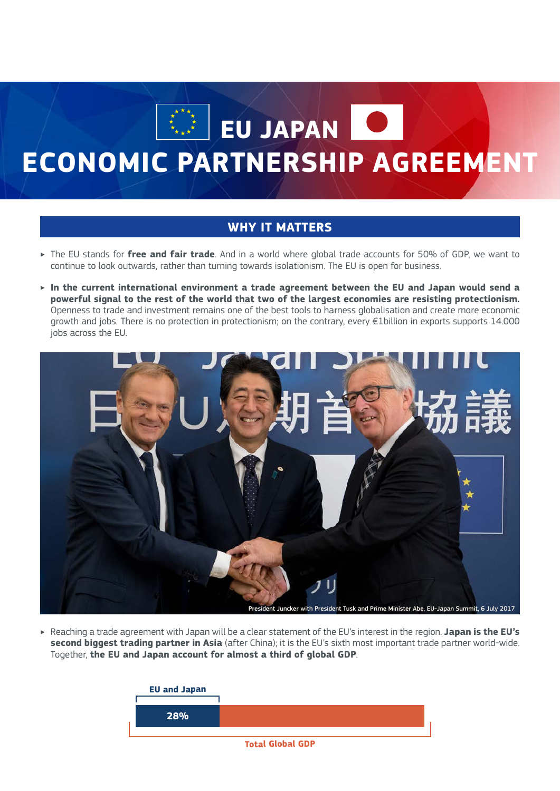**EU JAPAN** 

## **ECONOMIC PARTNERSHIP AGREEMENT**

## **WHY IT MATTERS**

- ‣ The EU stands for **free and fair trade**. And in a world where global trade accounts for 50% of GDP, we want to continue to look outwards, rather than turning towards isolationism. The EU is open for business.
- ‣ **In the current international environment a trade agreement between the EU and Japan would send a powerful signal to the rest of the world that two of the largest economies are resisting protectionism.**  Openness to trade and investment remains one of the best tools to harness globalisation and create more economic growth and jobs. There is no protection in protectionism; on the contrary, every €1billion in exports supports 14.000 jobs across the EU.



‣ Reaching a trade agreement with Japan will be a clear statement of the EU's interest in the region. **Japan is the EU's second biggest trading partner in Asia** (after China); it is the EU's sixth most important trade partner world-wide. Together, **the EU and Japan account for almost a third of global GDP**.